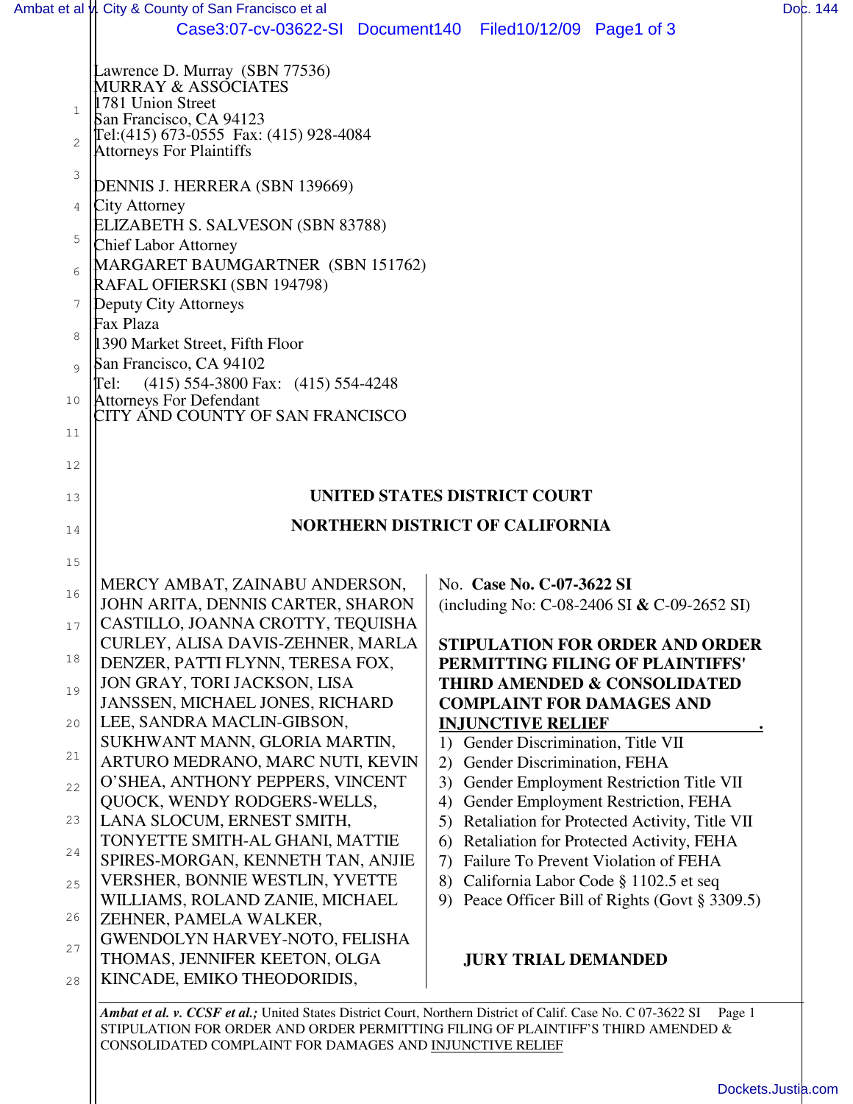|                | Ambat et al v. City & County of San Francisco et al                        |                                                                                                                    | Dob. 144 |
|----------------|----------------------------------------------------------------------------|--------------------------------------------------------------------------------------------------------------------|----------|
|                |                                                                            | Case3:07-cv-03622-SI Document140 Filed10/12/09 Page1 of 3                                                          |          |
|                | Lawrence D. Murray (SBN 77536)<br>MURRAY & ASSOCIATES                      |                                                                                                                    |          |
| $\mathbf{1}$   | 1781 Union Street<br>San Francisco, CA 94123                               |                                                                                                                    |          |
| $\overline{2}$ | Tel: (415) 673-0555 Fax: (415) 928-4084<br><b>Attorneys For Plaintiffs</b> |                                                                                                                    |          |
| 3              | DENNIS J. HERRERA (SBN 139669)                                             |                                                                                                                    |          |
| 4              | City Attorney                                                              |                                                                                                                    |          |
| 5              | ELIZABETH S. SALVESON (SBN 83788)<br><b>Chief Labor Attorney</b>           |                                                                                                                    |          |
| 6              | MARGARET BAUMGARTNER (SBN 151762)<br>RAFAL OFIERSKI (SBN 194798)           |                                                                                                                    |          |
| 7              | Deputy City Attorneys                                                      |                                                                                                                    |          |
| 8              | Fax Plaza                                                                  |                                                                                                                    |          |
| $\circ$        | 1390 Market Street, Fifth Floor<br>San Francisco, CA 94102                 |                                                                                                                    |          |
|                | $(415)$ 554-3800 Fax: $(415)$ 554-4248<br>Tel:                             |                                                                                                                    |          |
| 10<br>11       | <b>Attorneys For Defendant</b><br>CITY AND COUNTY OF SAN FRANCISCO         |                                                                                                                    |          |
| 12             |                                                                            |                                                                                                                    |          |
| 13             |                                                                            | UNITED STATES DISTRICT COURT                                                                                       |          |
|                | <b>NORTHERN DISTRICT OF CALIFORNIA</b>                                     |                                                                                                                    |          |
| 14             |                                                                            |                                                                                                                    |          |
| 15             | MERCY AMBAT, ZAINABU ANDERSON,                                             | No. Case No. C-07-3622 SI                                                                                          |          |
| 16             | JOHN ARITA, DENNIS CARTER, SHARON                                          | (including No: C-08-2406 SI $&$ C-09-2652 SI)                                                                      |          |
| 17             | CASTILLO, JOANNA CROTTY, TEQUISHA<br>CURLEY, ALISA DAVIS-ZEHNER, MARLA     | <b>STIPULATION FOR ORDER AND ORDER</b>                                                                             |          |
| 18             | DENZER, PATTI FLYNN, TERESA FOX,                                           | PERMITTING FILING OF PLAINTIFFS'                                                                                   |          |
| 19             | JON GRAY, TORI JACKSON, LISA<br>JANSSEN, MICHAEL JONES, RICHARD            | <b>THIRD AMENDED &amp; CONSOLIDATED</b><br><b>COMPLAINT FOR DAMAGES AND</b>                                        |          |
| 20             | LEE, SANDRA MACLIN-GIBSON,                                                 | <b>INJUNCTIVE RELIEF</b>                                                                                           |          |
| 21             | SUKHWANT MANN, GLORIA MARTIN,<br>ARTURO MEDRANO, MARC NUTI, KEVIN          | 1) Gender Discrimination, Title VII<br>Gender Discrimination, FEHA<br>2)                                           |          |
| 22             | O'SHEA, ANTHONY PEPPERS, VINCENT                                           | Gender Employment Restriction Title VII<br>3)                                                                      |          |
| 23             | QUOCK, WENDY RODGERS-WELLS,<br>LANA SLOCUM, ERNEST SMITH,                  | Gender Employment Restriction, FEHA<br>4)<br>5) Retaliation for Protected Activity, Title VII                      |          |
|                | TONYETTE SMITH-AL GHANI, MATTIE                                            | Retaliation for Protected Activity, FEHA<br>6)                                                                     |          |
| 24             | SPIRES-MORGAN, KENNETH TAN, ANJIE                                          | Failure To Prevent Violation of FEHA<br>7)                                                                         |          |
| 25             | <b>VERSHER, BONNIE WESTLIN, YVETTE</b><br>WILLIAMS, ROLAND ZANIE, MICHAEL  | California Labor Code § 1102.5 et seq<br>8)<br>Peace Officer Bill of Rights (Govt § 3309.5)<br>9                   |          |
| 26             | ZEHNER, PAMELA WALKER,                                                     |                                                                                                                    |          |
| 27             | GWENDOLYN HARVEY-NOTO, FELISHA<br>THOMAS, JENNIFER KEETON, OLGA            |                                                                                                                    |          |
| 28             | KINCADE, EMIKO THEODORIDIS,                                                | <b>JURY TRIAL DEMANDED</b>                                                                                         |          |
|                |                                                                            | Ambat et al. y. CCSF et al. United States District Court, Northern District of Calif. Case No. C 07-3622 SI Page 1 |          |

*Ambat et al. v. CCSF et al.;* United States District Court, Northern District of Calif. Case No. C 07-3622 SI Page 1 STIPULATION FOR ORDER AND ORDER PERMITTING FILING OF PLAINTIFF'S THIRD AMENDED & CONSOLIDATED COMPLAINT FOR DAMAGES AND INJUNCTIVE RELIEF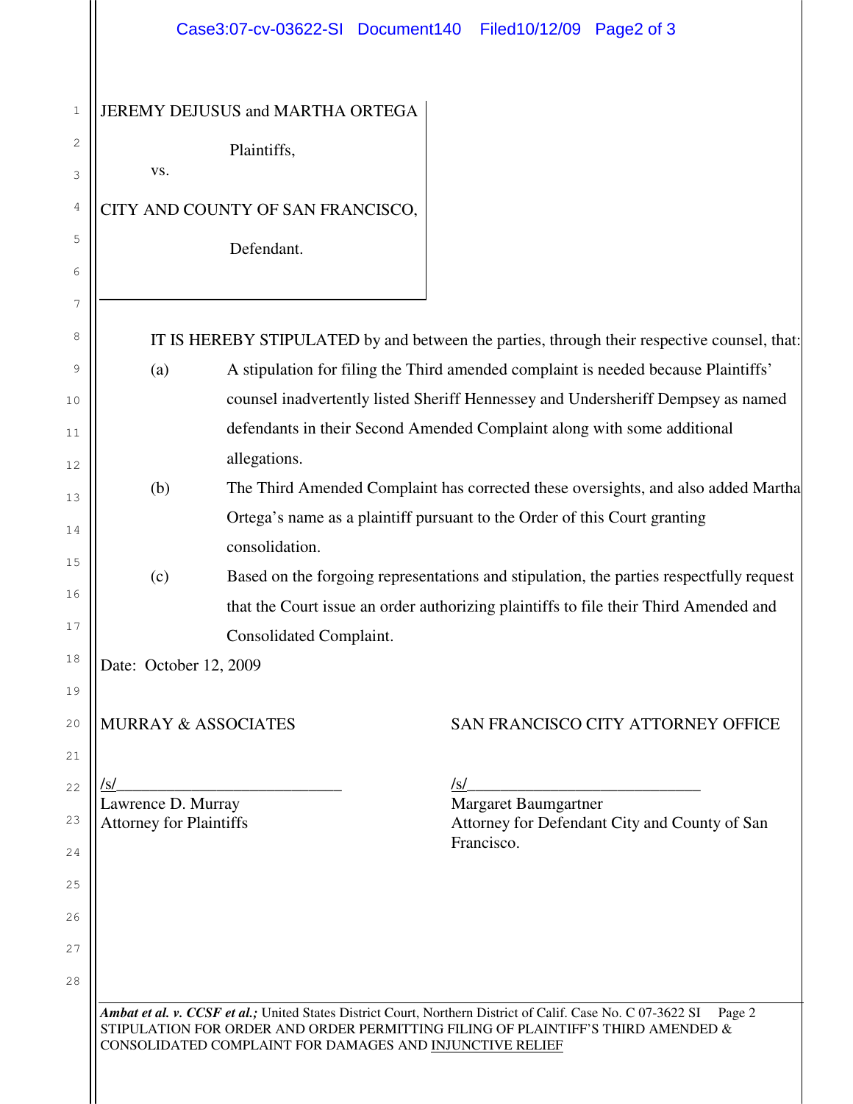|                                                                                           | Case3:07-cv-03622-SI Document140                                                        | Filed10/12/09 Page2 of 3                                                                    |  |
|-------------------------------------------------------------------------------------------|-----------------------------------------------------------------------------------------|---------------------------------------------------------------------------------------------|--|
|                                                                                           |                                                                                         |                                                                                             |  |
|                                                                                           | JEREMY DEJUSUS and MARTHA ORTEGA                                                        |                                                                                             |  |
|                                                                                           | Plaintiffs,                                                                             |                                                                                             |  |
| VS.                                                                                       |                                                                                         |                                                                                             |  |
|                                                                                           | CITY AND COUNTY OF SAN FRANCISCO,                                                       |                                                                                             |  |
|                                                                                           | Defendant.                                                                              |                                                                                             |  |
|                                                                                           |                                                                                         |                                                                                             |  |
|                                                                                           |                                                                                         |                                                                                             |  |
|                                                                                           |                                                                                         | IT IS HEREBY STIPULATED by and between the parties, through their respective counsel, that: |  |
| A stipulation for filing the Third amended complaint is needed because Plaintiffs'<br>(a) |                                                                                         |                                                                                             |  |
|                                                                                           | counsel inadvertently listed Sheriff Hennessey and Undersheriff Dempsey as named        |                                                                                             |  |
|                                                                                           | defendants in their Second Amended Complaint along with some additional                 |                                                                                             |  |
|                                                                                           | allegations.                                                                            |                                                                                             |  |
| (b)                                                                                       | The Third Amended Complaint has corrected these oversights, and also added Martha       |                                                                                             |  |
|                                                                                           | Ortega's name as a plaintiff pursuant to the Order of this Court granting               |                                                                                             |  |
|                                                                                           | consolidation.                                                                          |                                                                                             |  |
| (c)                                                                                       | Based on the forgoing representations and stipulation, the parties respectfully request |                                                                                             |  |
|                                                                                           | that the Court issue an order authorizing plaintiffs to file their Third Amended and    |                                                                                             |  |
|                                                                                           | Consolidated Complaint.                                                                 |                                                                                             |  |
| Date: October 12, 2009                                                                    |                                                                                         |                                                                                             |  |
|                                                                                           | <b>MURRAY &amp; ASSOCIATES</b>                                                          | SAN FRANCISCO CITY ATTORNEY OFFICE                                                          |  |
| /s/                                                                                       |                                                                                         | /s/                                                                                         |  |
| Lawrence D. Murray                                                                        |                                                                                         | <b>Margaret Baumgartner</b>                                                                 |  |
| <b>Attorney for Plaintiffs</b>                                                            |                                                                                         | Attorney for Defendant City and County of San<br>Francisco.                                 |  |
|                                                                                           |                                                                                         |                                                                                             |  |
|                                                                                           |                                                                                         |                                                                                             |  |
|                                                                                           |                                                                                         |                                                                                             |  |
|                                                                                           |                                                                                         |                                                                                             |  |
|                                                                                           |                                                                                         |                                                                                             |  |